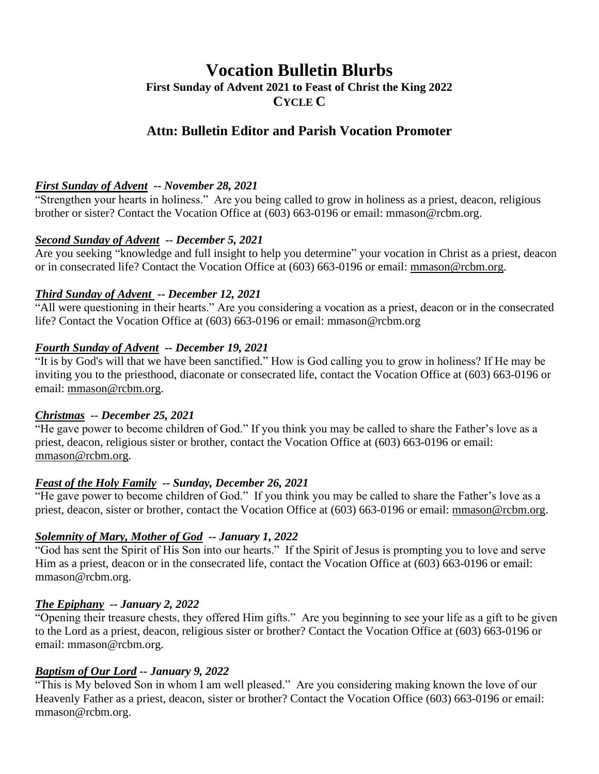# **Vocation Bulletin Blurbs First Sunday of Advent 2021 to Feast of Christ the King 2022 CYCLE C**

# **Attn: Bulletin Editor and Parish Vocation Promoter**

#### *First Sunday of Advent -- November 28, 2021*

"Strengthen your hearts in holiness." Are you being called to grow in holiness as a priest, deacon, religious brother or sister? Contact the Vocation Office at (603) 663-0196 or email: mmason@rcbm.org.

#### *Second Sunday of Advent -- December 5, 2021*

Are you seeking "knowledge and full insight to help you determine" your vocation in Christ as a priest, deacon or in consecrated life? Contact the Vocation Office at (603) 663-0196 or email: [mmason@rcbm.org.](mailto:mmason@rcbm.org)

#### *Third Sunday of Advent -- December 12, 2021*

"All were questioning in their hearts." Are you considering a vocation as a priest, deacon or in the consecrated life? Contact the Vocation Office at (603) 663-0196 or email: mmason@rcbm.org

#### *Fourth Sunday of Advent -- December 19, 2021*

"It is by God's will that we have been sanctified." How is God calling you to grow in holiness? If He may be inviting you to the priesthood, diaconate or consecrated life, contact the Vocation Office at (603) 663-0196 or email: [mmason@rcbm.org.](mailto:mmason@rcbm.org)

#### *Christmas -- December 25, 2021*

"He gave power to become children of God." If you think you may be called to share the Father's love as a priest, deacon, religious sister or brother, contact the Vocation Office at (603) 663-0196 or email: [mmason@rcbm.org.](mailto:mmason@rcbm.org)

#### *Feast of the Holy Family -- Sunday, December 26, 2021*

"He gave power to become children of God." If you think you may be called to share the Father's love as a priest, deacon, sister or brother, contact the Vocation Office at (603) 663-0196 or email: [mmason@rcbm.org.](mailto:mmason@rcbm.org)

#### *Solemnity of Mary, Mother of God -- January 1, 2022*

"God has sent the Spirit of His Son into our hearts." If the Spirit of Jesus is prompting you to love and serve Him as a priest, deacon or in the consecrated life, contact the Vocation Office at (603) 663-0196 or email: mmason@rcbm.org.

#### *The Epiphany -- January 2, 2022*

"Opening their treasure chests, they offered Him gifts." Are you beginning to see your life as a gift to be given to the Lord as a priest, deacon, religious sister or brother? Contact the Vocation Office at (603) 663-0196 or email: mmason@rcbm.org.

#### *Baptism of Our Lord -- January 9, 2022*

"This is My beloved Son in whom I am well pleased." Are you considering making known the love of our Heavenly Father as a priest, deacon, sister or brother? Contact the Vocation Office (603) 663-0196 or email: mmason@rcbm.org.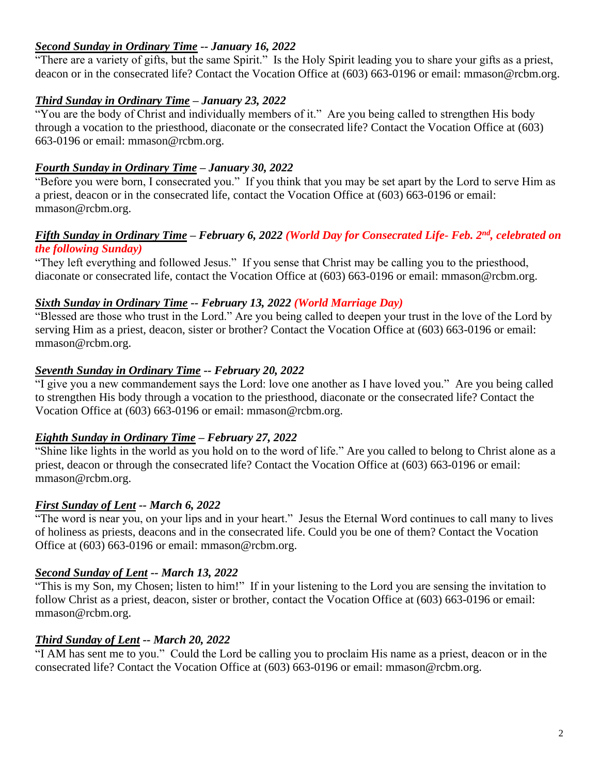#### *Second Sunday in Ordinary Time -- January 16, 2022*

"There are a variety of gifts, but the same Spirit." Is the Holy Spirit leading you to share your gifts as a priest, deacon or in the consecrated life? Contact the Vocation Office at (603) 663-0196 or email: mmason@rcbm.org.

## *Third Sunday in Ordinary Time – January 23, 2022*

"You are the body of Christ and individually members of it." Are you being called to strengthen His body through a vocation to the priesthood, diaconate or the consecrated life? Contact the Vocation Office at (603) 663-0196 or email: mmason@rcbm.org.

## *Fourth Sunday in Ordinary Time – January 30, 2022*

"Before you were born, I consecrated you." If you think that you may be set apart by the Lord to serve Him as a priest, deacon or in the consecrated life, contact the Vocation Office at (603) 663-0196 or email: mmason@rcbm.org.

#### *Fifth Sunday in Ordinary Time – February 6, 2022 (World Day for Consecrated Life- Feb. 2nd, celebrated on the following Sunday)*

"They left everything and followed Jesus." If you sense that Christ may be calling you to the priesthood, diaconate or consecrated life, contact the Vocation Office at (603) 663-0196 or email: mmason@rcbm.org.

## *Sixth Sunday in Ordinary Time -- February 13, 2022 (World Marriage Day)*

"Blessed are those who trust in the Lord." Are you being called to deepen your trust in the love of the Lord by serving Him as a priest, deacon, sister or brother? Contact the Vocation Office at (603) 663-0196 or email: mmason@rcbm.org.

## *Seventh Sunday in Ordinary Time -- February 20, 2022*

"I give you a new commandement says the Lord: love one another as I have loved you." Are you being called to strengthen His body through a vocation to the priesthood, diaconate or the consecrated life? Contact the Vocation Office at (603) 663-0196 or email: mmason@rcbm.org.

# *Eighth Sunday in Ordinary Time – February 27, 2022*

"Shine like lights in the world as you hold on to the word of life." Are you called to belong to Christ alone as a priest, deacon or through the consecrated life? Contact the Vocation Office at (603) 663-0196 or email: mmason@rcbm.org.

# *First Sunday of Lent -- March 6, 2022*

"The word is near you, on your lips and in your heart." Jesus the Eternal Word continues to call many to lives of holiness as priests, deacons and in the consecrated life. Could you be one of them? Contact the Vocation Office at (603) 663-0196 or email: mmason@rcbm.org.

# *Second Sunday of Lent -- March 13, 2022*

"This is my Son, my Chosen; listen to him!" If in your listening to the Lord you are sensing the invitation to follow Christ as a priest, deacon, sister or brother, contact the Vocation Office at (603) 663-0196 or email: mmason@rcbm.org.

# *Third Sunday of Lent -- March 20, 2022*

"I AM has sent me to you." Could the Lord be calling you to proclaim His name as a priest, deacon or in the consecrated life? Contact the Vocation Office at (603) 663-0196 or email: mmason@rcbm.org.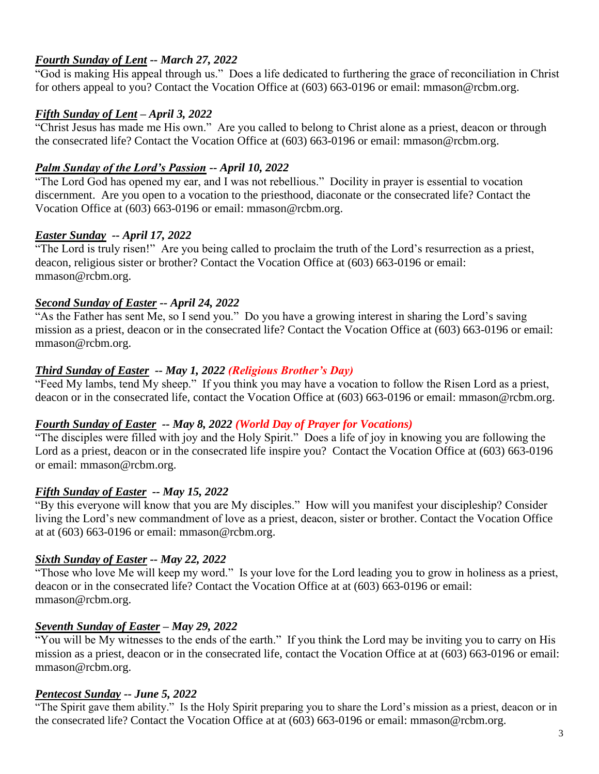## *Fourth Sunday of Lent -- March 27, 2022*

"God is making His appeal through us." Does a life dedicated to furthering the grace of reconciliation in Christ for others appeal to you? Contact the Vocation Office at (603) 663-0196 or email: mmason@rcbm.org.

#### *Fifth Sunday of Lent – April 3, 2022*

"Christ Jesus has made me His own." Are you called to belong to Christ alone as a priest, deacon or through the consecrated life? Contact the Vocation Office at (603) 663-0196 or email: mmason@rcbm.org.

#### *Palm Sunday of the Lord's Passion -- April 10, 2022*

"The Lord God has opened my ear, and I was not rebellious." Docility in prayer is essential to vocation discernment. Are you open to a vocation to the priesthood, diaconate or the consecrated life? Contact the Vocation Office at (603) 663-0196 or email: mmason@rcbm.org.

#### *Easter Sunday -- April 17, 2022*

"The Lord is truly risen!" Are you being called to proclaim the truth of the Lord's resurrection as a priest, deacon, religious sister or brother? Contact the Vocation Office at (603) 663-0196 or email: mmason@rcbm.org.

#### *Second Sunday of Easter -- April 24, 2022*

"As the Father has sent Me, so I send you." Do you have a growing interest in sharing the Lord's saving mission as a priest, deacon or in the consecrated life? Contact the Vocation Office at (603) 663-0196 or email: mmason@rcbm.org.

#### *Third Sunday of Easter -- May 1, 2022 (Religious Brother's Day)*

"Feed My lambs, tend My sheep." If you think you may have a vocation to follow the Risen Lord as a priest, deacon or in the consecrated life, contact the Vocation Office at (603) 663-0196 or email: mmason@rcbm.org.

#### *Fourth Sunday of Easter -- May 8, 2022 (World Day of Prayer for Vocations)*

"The disciples were filled with joy and the Holy Spirit." Does a life of joy in knowing you are following the Lord as a priest, deacon or in the consecrated life inspire you? Contact the Vocation Office at (603) 663-0196 or email: mmason@rcbm.org.

#### *Fifth Sunday of Easter -- May 15, 2022*

"By this everyone will know that you are My disciples." How will you manifest your discipleship? Consider living the Lord's new commandment of love as a priest, deacon, sister or brother. Contact the Vocation Office at at (603) 663-0196 or email: mmason@rcbm.org.

#### *Sixth Sunday of Easter -- May 22, 2022*

"Those who love Me will keep my word." Is your love for the Lord leading you to grow in holiness as a priest, deacon or in the consecrated life? Contact the Vocation Office at at (603) 663-0196 or email: mmason@rcbm.org.

#### *Seventh Sunday of Easter – May 29, 2022*

"You will be My witnesses to the ends of the earth." If you think the Lord may be inviting you to carry on His mission as a priest, deacon or in the consecrated life, contact the Vocation Office at at (603) 663-0196 or email: mmason@rcbm.org.

#### *Pentecost Sunday -- June 5, 2022*

"The Spirit gave them ability." Is the Holy Spirit preparing you to share the Lord's mission as a priest, deacon or in the consecrated life? Contact the Vocation Office at at (603) 663-0196 or email: mmason@rcbm.org.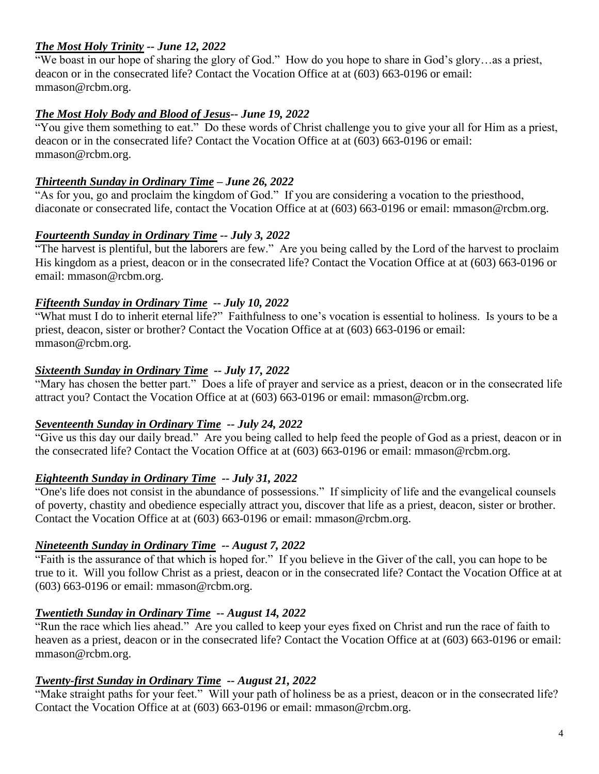## *The Most Holy Trinity -- June 12, 2022*

"We boast in our hope of sharing the glory of God." How do you hope to share in God's glory…as a priest, deacon or in the consecrated life? Contact the Vocation Office at at (603) 663-0196 or email: mmason@rcbm.org.

## *The Most Holy Body and Blood of Jesus-- June 19, 2022*

"You give them something to eat." Do these words of Christ challenge you to give your all for Him as a priest, deacon or in the consecrated life? Contact the Vocation Office at at (603) 663-0196 or email: mmason@rcbm.org.

#### *Thirteenth Sunday in Ordinary Time – June 26, 2022*

"As for you, go and proclaim the kingdom of God." If you are considering a vocation to the priesthood, diaconate or consecrated life, contact the Vocation Office at at (603) 663-0196 or email: mmason@rcbm.org.

## *Fourteenth Sunday in Ordinary Time -- July 3, 2022*

"The harvest is plentiful, but the laborers are few." Are you being called by the Lord of the harvest to proclaim His kingdom as a priest, deacon or in the consecrated life? Contact the Vocation Office at at (603) 663-0196 or email: mmason@rcbm.org.

## *Fifteenth Sunday in Ordinary Time -- July 10, 2022*

"What must I do to inherit eternal life?" Faithfulness to one's vocation is essential to holiness. Is yours to be a priest, deacon, sister or brother? Contact the Vocation Office at at (603) 663-0196 or email: mmason@rcbm.org.

## *Sixteenth Sunday in Ordinary Time -- July 17, 2022*

"Mary has chosen the better part." Does a life of prayer and service as a priest, deacon or in the consecrated life attract you? Contact the Vocation Office at at (603) 663-0196 or email: mmason@rcbm.org.

# *Seventeenth Sunday in Ordinary Time -- July 24, 2022*

"Give us this day our daily bread." Are you being called to help feed the people of God as a priest, deacon or in the consecrated life? Contact the Vocation Office at at (603) 663-0196 or email: mmason@rcbm.org.

# *Eighteenth Sunday in Ordinary Time -- July 31, 2022*

"One's life does not consist in the abundance of possessions." If simplicity of life and the evangelical counsels of poverty, chastity and obedience especially attract you, discover that life as a priest, deacon, sister or brother. Contact the Vocation Office at at (603) 663-0196 or email: mmason@rcbm.org.

#### *Nineteenth Sunday in Ordinary Time -- August 7, 2022*

"Faith is the assurance of that which is hoped for." If you believe in the Giver of the call, you can hope to be true to it. Will you follow Christ as a priest, deacon or in the consecrated life? Contact the Vocation Office at at (603) 663-0196 or email: mmason@rcbm.org.

#### *Twentieth Sunday in Ordinary Time -- August 14, 2022*

"Run the race which lies ahead." Are you called to keep your eyes fixed on Christ and run the race of faith to heaven as a priest, deacon or in the consecrated life? Contact the Vocation Office at at (603) 663-0196 or email: mmason@rcbm.org.

#### *Twenty-first Sunday in Ordinary Time -- August 21, 2022*

"Make straight paths for your feet." Will your path of holiness be as a priest, deacon or in the consecrated life? Contact the Vocation Office at at (603) 663-0196 or email: mmason@rcbm.org.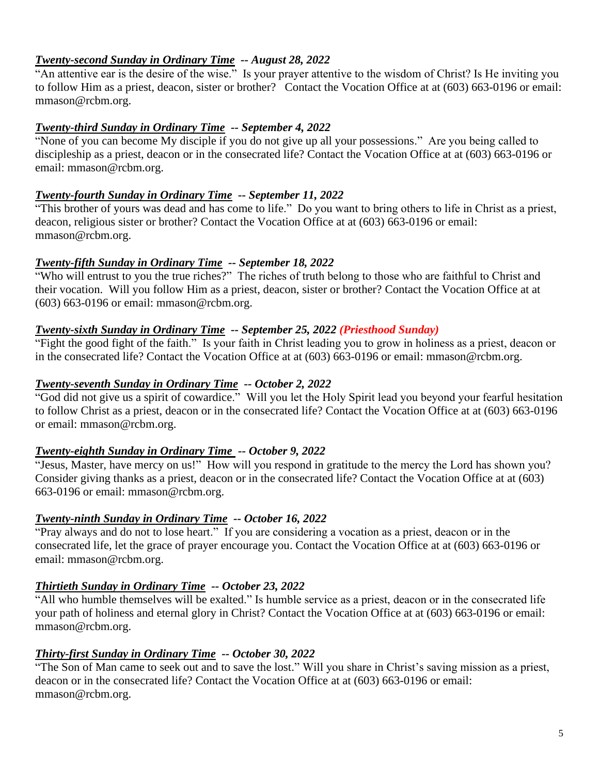## *Twenty-second Sunday in Ordinary Time -- August 28, 2022*

"An attentive ear is the desire of the wise." Is your prayer attentive to the wisdom of Christ? Is He inviting you to follow Him as a priest, deacon, sister or brother? Contact the Vocation Office at at (603) 663-0196 or email: mmason@rcbm.org.

#### *Twenty-third Sunday in Ordinary Time -- September 4, 2022*

"None of you can become My disciple if you do not give up all your possessions." Are you being called to discipleship as a priest, deacon or in the consecrated life? Contact the Vocation Office at at (603) 663-0196 or email: mmason@rcbm.org.

## *Twenty-fourth Sunday in Ordinary Time -- September 11, 2022*

"This brother of yours was dead and has come to life." Do you want to bring others to life in Christ as a priest, deacon, religious sister or brother? Contact the Vocation Office at at (603) 663-0196 or email: mmason@rcbm.org.

## *Twenty-fifth Sunday in Ordinary Time -- September 18, 2022*

"Who will entrust to you the true riches?" The riches of truth belong to those who are faithful to Christ and their vocation. Will you follow Him as a priest, deacon, sister or brother? Contact the Vocation Office at at (603) 663-0196 or email: mmason@rcbm.org.

## *Twenty-sixth Sunday in Ordinary Time -- September 25, 2022 (Priesthood Sunday)*

"Fight the good fight of the faith." Is your faith in Christ leading you to grow in holiness as a priest, deacon or in the consecrated life? Contact the Vocation Office at at (603) 663-0196 or email: mmason@rcbm.org.

## *Twenty-seventh Sunday in Ordinary Time -- October 2, 2022*

"God did not give us a spirit of cowardice." Will you let the Holy Spirit lead you beyond your fearful hesitation to follow Christ as a priest, deacon or in the consecrated life? Contact the Vocation Office at at (603) 663-0196 or email: mmason@rcbm.org.

#### *Twenty-eighth Sunday in Ordinary Time -- October 9, 2022*

"Jesus, Master, have mercy on us!" How will you respond in gratitude to the mercy the Lord has shown you? Consider giving thanks as a priest, deacon or in the consecrated life? Contact the Vocation Office at at (603) 663-0196 or email: mmason@rcbm.org.

#### *Twenty-ninth Sunday in Ordinary Time -- October 16, 2022*

"Pray always and do not to lose heart." If you are considering a vocation as a priest, deacon or in the consecrated life, let the grace of prayer encourage you. Contact the Vocation Office at at (603) 663-0196 or email: mmason@rcbm.org.

# *Thirtieth Sunday in Ordinary Time -- October 23, 2022*

"All who humble themselves will be exalted." Is humble service as a priest, deacon or in the consecrated life your path of holiness and eternal glory in Christ? Contact the Vocation Office at at (603) 663-0196 or email: mmason@rcbm.org.

#### *Thirty-first Sunday in Ordinary Time -- October 30, 2022*

"The Son of Man came to seek out and to save the lost." Will you share in Christ's saving mission as a priest, deacon or in the consecrated life? Contact the Vocation Office at at (603) 663-0196 or email: mmason@rcbm.org.